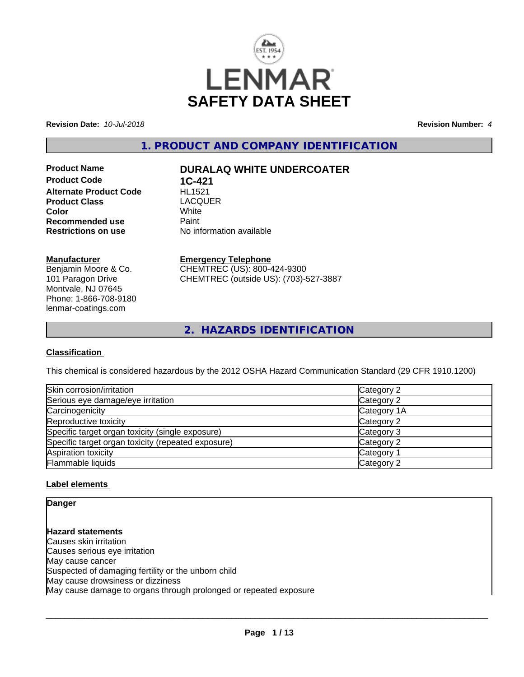

**Revision Date:** *10-Jul-2018* **Revision Number:** *4*

**1. PRODUCT AND COMPANY IDENTIFICATION**

**Product Code 1C-421**<br>**Alternate Product Code HL1521 Alternate Product Code Product Class** LACQUER<br> **Color** White **Color** White White **Recommended use Faint Paint Paint Restrictions on use Fig. 2016** 

# **Product Name DURALAQ WHITE UNDERCOATER**

**No information available** 

## **Manufacturer**

Benjamin Moore & Co. 101 Paragon Drive Montvale, NJ 07645 Phone: 1-866-708-9180 lenmar-coatings.com

## **Emergency Telephone**

CHEMTREC (US): 800-424-9300 CHEMTREC (outside US): (703)-527-3887

**2. HAZARDS IDENTIFICATION**

## **Classification**

This chemical is considered hazardous by the 2012 OSHA Hazard Communication Standard (29 CFR 1910.1200)

| Skin corrosion/irritation                          | Category 2  |
|----------------------------------------------------|-------------|
| Serious eye damage/eye irritation                  | Category 2  |
| Carcinogenicity                                    | Category 1A |
| Reproductive toxicity                              | Category 2  |
| Specific target organ toxicity (single exposure)   | Category 3  |
| Specific target organ toxicity (repeated exposure) | Category 2  |
| Aspiration toxicity                                | Category 1  |
| Flammable liquids                                  | Category 2  |

## **Label elements**

**Danger**

**Hazard statements** Causes skin irritation Causes serious eye irritation May cause cancer Suspected of damaging fertility or the unborn child May cause drowsiness or dizziness May cause damage to organs through prolonged or repeated exposure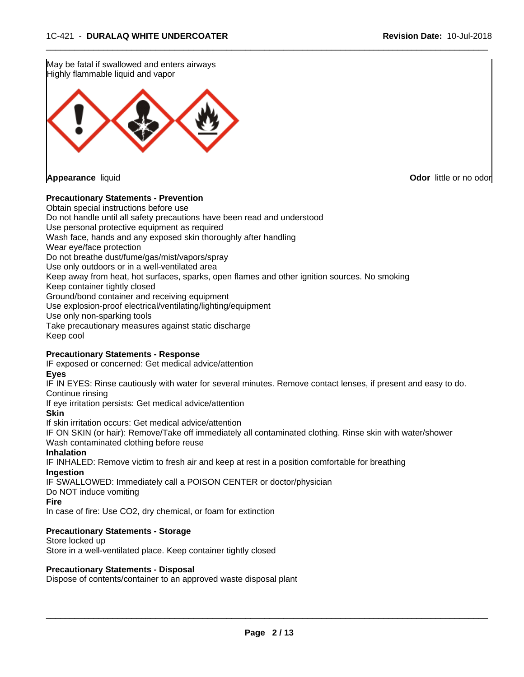

## **Precautionary Statements - Prevention**

Obtain special instructions before use Do not handle until all safety precautions have been read and understood Use personal protective equipment as required Wash face, hands and any exposed skin thoroughly after handling Wear eye/face protection Do not breathe dust/fume/gas/mist/vapors/spray Use only outdoors or in a well-ventilated area Keep away from heat, hot surfaces, sparks, open flames and other ignition sources. No smoking Keep container tightly closed Ground/bond container and receiving equipment Use explosion-proof electrical/ventilating/lighting/equipment Use only non-sparking tools Take precautionary measures against static discharge Keep cool

 $\overline{\phantom{a}}$  ,  $\overline{\phantom{a}}$  ,  $\overline{\phantom{a}}$  ,  $\overline{\phantom{a}}$  ,  $\overline{\phantom{a}}$  ,  $\overline{\phantom{a}}$  ,  $\overline{\phantom{a}}$  ,  $\overline{\phantom{a}}$  ,  $\overline{\phantom{a}}$  ,  $\overline{\phantom{a}}$  ,  $\overline{\phantom{a}}$  ,  $\overline{\phantom{a}}$  ,  $\overline{\phantom{a}}$  ,  $\overline{\phantom{a}}$  ,  $\overline{\phantom{a}}$  ,  $\overline{\phantom{a}}$ 

#### **Precautionary Statements - Response**

IF exposed or concerned: Get medical advice/attention

**Eyes**

IF IN EYES: Rinse cautiously with water for several minutes. Remove contact lenses, if present and easy to do. Continue rinsing

If eye irritation persists: Get medical advice/attention

**Skin**

If skin irritation occurs: Get medical advice/attention

IF ON SKIN (or hair): Remove/Take off immediately all contaminated clothing. Rinse skin with water/shower Wash contaminated clothing before reuse

#### **Inhalation**

IF INHALED: Remove victim to fresh air and keep at rest in a position comfortable for breathing **Ingestion**

IF SWALLOWED: Immediately call a POISON CENTER or doctor/physician

Do NOT induce vomiting

**Fire**

In case of fire: Use CO2, dry chemical, or foam for extinction

### **Precautionary Statements - Storage**

Store locked up Store in a well-ventilated place. Keep container tightly closed

#### **Precautionary Statements - Disposal**

Dispose of contents/container to an approved waste disposal plant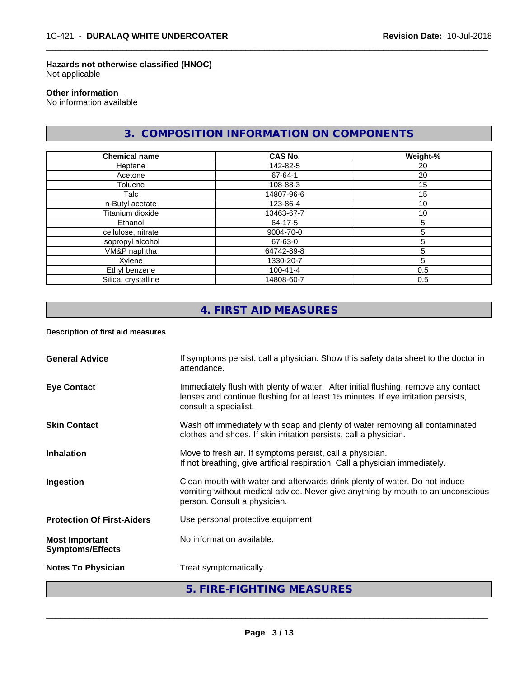## **Hazards not otherwise classified (HNOC)**

Not applicable

## **Other information**

No information available

# **3. COMPOSITION INFORMATION ON COMPONENTS**

 $\overline{\phantom{a}}$  ,  $\overline{\phantom{a}}$  ,  $\overline{\phantom{a}}$  ,  $\overline{\phantom{a}}$  ,  $\overline{\phantom{a}}$  ,  $\overline{\phantom{a}}$  ,  $\overline{\phantom{a}}$  ,  $\overline{\phantom{a}}$  ,  $\overline{\phantom{a}}$  ,  $\overline{\phantom{a}}$  ,  $\overline{\phantom{a}}$  ,  $\overline{\phantom{a}}$  ,  $\overline{\phantom{a}}$  ,  $\overline{\phantom{a}}$  ,  $\overline{\phantom{a}}$  ,  $\overline{\phantom{a}}$ 

| <b>Chemical name</b> | <b>CAS No.</b> | Weight-% |
|----------------------|----------------|----------|
| Heptane              | 142-82-5       | 20       |
| Acetone              | 67-64-1        | 20       |
| Toluene              | 108-88-3       | 15       |
| Talc                 | 14807-96-6     | 15       |
| n-Butyl acetate      | 123-86-4       | 10       |
| Titanium dioxide     | 13463-67-7     | 10       |
| Ethanol              | 64-17-5        | 5        |
| cellulose, nitrate   | 9004-70-0      | 5        |
| Isopropyl alcohol    | 67-63-0        | 5        |
| VM&P naphtha         | 64742-89-8     | 5        |
| Xylene               | 1330-20-7      | 5        |
| Ethyl benzene        | 100-41-4       | 0.5      |
| Silica, crystalline  | 14808-60-7     | 0.5      |

# **4. FIRST AID MEASURES**

#### **Description of first aid measures**

|                                                  | 5. FIRE-FIGHTING MEASURES                                                                                                                                                                        |
|--------------------------------------------------|--------------------------------------------------------------------------------------------------------------------------------------------------------------------------------------------------|
| <b>Notes To Physician</b>                        | Treat symptomatically.                                                                                                                                                                           |
| <b>Most Important</b><br><b>Symptoms/Effects</b> | No information available.                                                                                                                                                                        |
| <b>Protection Of First-Aiders</b>                | Use personal protective equipment.                                                                                                                                                               |
| Ingestion                                        | Clean mouth with water and afterwards drink plenty of water. Do not induce<br>vomiting without medical advice. Never give anything by mouth to an unconscious<br>person. Consult a physician.    |
| <b>Inhalation</b>                                | Move to fresh air. If symptoms persist, call a physician.<br>If not breathing, give artificial respiration. Call a physician immediately.                                                        |
| <b>Skin Contact</b>                              | Wash off immediately with soap and plenty of water removing all contaminated<br>clothes and shoes. If skin irritation persists, call a physician.                                                |
| <b>Eye Contact</b>                               | Immediately flush with plenty of water. After initial flushing, remove any contact<br>lenses and continue flushing for at least 15 minutes. If eye irritation persists,<br>consult a specialist. |
| <b>General Advice</b>                            | If symptoms persist, call a physician. Show this safety data sheet to the doctor in<br>attendance.                                                                                               |
|                                                  |                                                                                                                                                                                                  |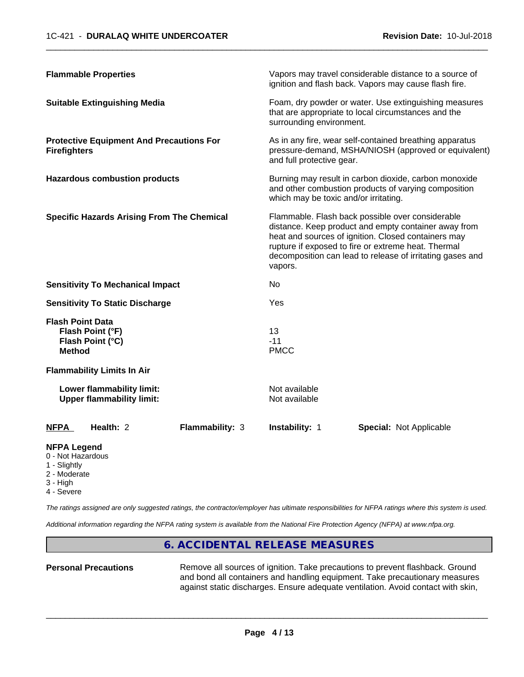| <b>Flammable Properties</b>                                                      | Vapors may travel considerable distance to a source of<br>ignition and flash back. Vapors may cause flash fire.                                                                                                                                                                                |
|----------------------------------------------------------------------------------|------------------------------------------------------------------------------------------------------------------------------------------------------------------------------------------------------------------------------------------------------------------------------------------------|
| <b>Suitable Extinguishing Media</b>                                              | Foam, dry powder or water. Use extinguishing measures<br>that are appropriate to local circumstances and the<br>surrounding environment.                                                                                                                                                       |
| <b>Protective Equipment And Precautions For</b><br><b>Firefighters</b>           | As in any fire, wear self-contained breathing apparatus<br>pressure-demand, MSHA/NIOSH (approved or equivalent)<br>and full protective gear.                                                                                                                                                   |
| <b>Hazardous combustion products</b>                                             | Burning may result in carbon dioxide, carbon monoxide<br>and other combustion products of varying composition<br>which may be toxic and/or irritating.                                                                                                                                         |
| <b>Specific Hazards Arising From The Chemical</b>                                | Flammable. Flash back possible over considerable<br>distance. Keep product and empty container away from<br>heat and sources of ignition. Closed containers may<br>rupture if exposed to fire or extreme heat. Thermal<br>decomposition can lead to release of irritating gases and<br>vapors. |
| <b>Sensitivity To Mechanical Impact</b>                                          | No                                                                                                                                                                                                                                                                                             |
| <b>Sensitivity To Static Discharge</b>                                           | Yes                                                                                                                                                                                                                                                                                            |
| <b>Flash Point Data</b><br>Flash Point (°F)<br>Flash Point (°C)<br><b>Method</b> | 13<br>$-11$<br><b>PMCC</b>                                                                                                                                                                                                                                                                     |
| <b>Flammability Limits In Air</b>                                                |                                                                                                                                                                                                                                                                                                |
| Lower flammability limit:<br><b>Upper flammability limit:</b>                    | Not available<br>Not available                                                                                                                                                                                                                                                                 |
| Health: 2<br><b>Flammability: 3</b><br><b>NFPA</b>                               | Instability: 1<br><b>Special: Not Applicable</b>                                                                                                                                                                                                                                               |
|                                                                                  |                                                                                                                                                                                                                                                                                                |

## **NFPA Legend**

- 0 Not Hazardous
- 1 Slightly
- 2 Moderate
- 3 High
- 4 Severe

*The ratings assigned are only suggested ratings, the contractor/employer has ultimate responsibilities for NFPA ratings where this system is used.*

*Additional information regarding the NFPA rating system is available from the National Fire Protection Agency (NFPA) at www.nfpa.org.*

## **6. ACCIDENTAL RELEASE MEASURES**

Personal Precautions **Remove all sources of ignition.** Take precautions to prevent flashback. Ground and bond all containers and handling equipment. Take precautionary measures against static discharges. Ensure adequate ventilation. Avoid contact with skin,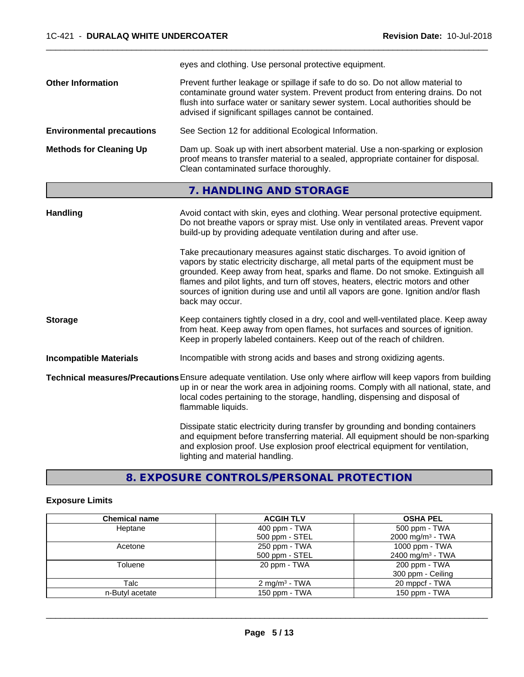|                                  | eyes and clothing. Use personal protective equipment.                                                                                                                                                                                                                                                      |
|----------------------------------|------------------------------------------------------------------------------------------------------------------------------------------------------------------------------------------------------------------------------------------------------------------------------------------------------------|
| <b>Other Information</b>         | Prevent further leakage or spillage if safe to do so. Do not allow material to<br>contaminate ground water system. Prevent product from entering drains. Do not<br>flush into surface water or sanitary sewer system. Local authorities should be<br>advised if significant spillages cannot be contained. |
| <b>Environmental precautions</b> | See Section 12 for additional Ecological Information.                                                                                                                                                                                                                                                      |
| <b>Methods for Cleaning Up</b>   | Dam up. Soak up with inert absorbent material. Use a non-sparking or explosion<br>proof means to transfer material to a sealed, appropriate container for disposal.<br>Clean contaminated surface thoroughly.                                                                                              |

# **7. HANDLING AND STORAGE**

| <b>Handling</b>               | Avoid contact with skin, eyes and clothing. Wear personal protective equipment.<br>Do not breathe vapors or spray mist. Use only in ventilated areas. Prevent vapor<br>build-up by providing adequate ventilation during and after use.                                                                                                                                                                                                        |
|-------------------------------|------------------------------------------------------------------------------------------------------------------------------------------------------------------------------------------------------------------------------------------------------------------------------------------------------------------------------------------------------------------------------------------------------------------------------------------------|
|                               | Take precautionary measures against static discharges. To avoid ignition of<br>vapors by static electricity discharge, all metal parts of the equipment must be<br>grounded. Keep away from heat, sparks and flame. Do not smoke. Extinguish all<br>flames and pilot lights, and turn off stoves, heaters, electric motors and other<br>sources of ignition during use and until all vapors are gone. Ignition and/or flash<br>back may occur. |
| <b>Storage</b>                | Keep containers tightly closed in a dry, cool and well-ventilated place. Keep away<br>from heat. Keep away from open flames, hot surfaces and sources of ignition.<br>Keep in properly labeled containers. Keep out of the reach of children.                                                                                                                                                                                                  |
| <b>Incompatible Materials</b> | Incompatible with strong acids and bases and strong oxidizing agents.                                                                                                                                                                                                                                                                                                                                                                          |
|                               | Technical measures/Precautions Ensure adequate ventilation. Use only where airflow will keep vapors from building<br>up in or near the work area in adjoining rooms. Comply with all national, state, and<br>local codes pertaining to the storage, handling, dispensing and disposal of<br>flammable liquids.                                                                                                                                 |
|                               | Dissipate static electricity during transfer by grounding and bonding containers<br>and equipment before transferring material. All equipment should be non-sparking<br>and explosion proof. Use explosion proof electrical equipment for ventilation,<br>lighting and material handling.                                                                                                                                                      |

**8. EXPOSURE CONTROLS/PERSONAL PROTECTION**

## **Exposure Limits**

| <b>Chemical name</b> | <b>ACGIH TLV</b>         | <b>OSHA PEL</b>              |
|----------------------|--------------------------|------------------------------|
| Heptane              | $400$ ppm - TWA          | 500 ppm - TWA                |
|                      | 500 ppm - STEL           | 2000 mg/m <sup>3</sup> - TWA |
| Acetone              | 250 ppm - TWA            | 1000 ppm - TWA               |
|                      | 500 ppm - STEL           | 2400 mg/m <sup>3</sup> - TWA |
| Toluene              | 20 ppm - TWA             | 200 ppm - TWA                |
|                      |                          | 300 ppm - Ceiling            |
| Talc                 | $2 \text{ mg/m}^3$ - TWA | 20 mppcf - TWA               |
| n-Butyl acetate      | 150 ppm - TWA            | 150 ppm - TWA                |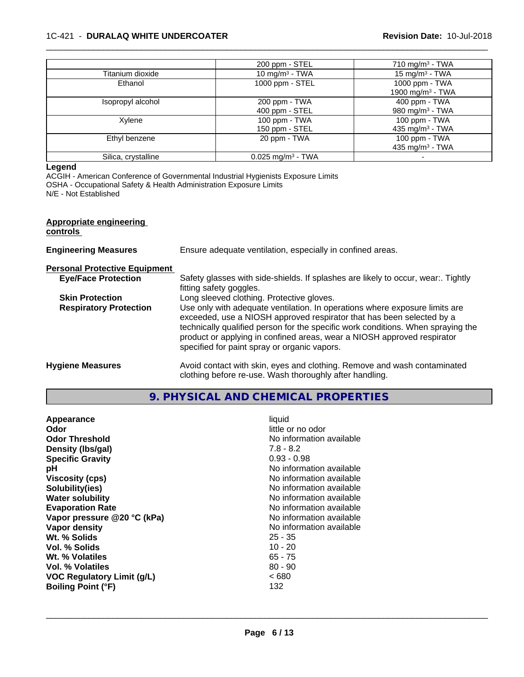### 1C-421 - **DURALAQ WHITE UNDERCOATER Revision Date:** 10-Jul-2018

|                     | 200 ppm - STEL                  | 710 mg/m <sup>3</sup> - TWA                      |
|---------------------|---------------------------------|--------------------------------------------------|
| Titanium dioxide    | 10 mg/m $3$ - TWA               | 15 mg/m $3$ - TWA                                |
| Ethanol             | 1000 ppm - STEL                 | 1000 ppm - TWA<br>1900 mg/m <sup>3</sup> - TWA   |
| Isopropyl alcohol   | 200 ppm - TWA<br>400 ppm - STEL | 400 ppm - TWA<br>980 mg/m <sup>3</sup> - TWA     |
| Xylene              | 100 ppm - TWA<br>150 ppm - STEL | $100$ ppm $-$ TWA<br>435 mg/m <sup>3</sup> - TWA |
| Ethyl benzene       | 20 ppm - TWA                    | 100 ppm - $TWA$<br>435 mg/m <sup>3</sup> - TWA   |
| Silica, crystalline | $0.025$ mg/m <sup>3</sup> - TWA |                                                  |

 $\overline{\phantom{a}}$  ,  $\overline{\phantom{a}}$  ,  $\overline{\phantom{a}}$  ,  $\overline{\phantom{a}}$  ,  $\overline{\phantom{a}}$  ,  $\overline{\phantom{a}}$  ,  $\overline{\phantom{a}}$  ,  $\overline{\phantom{a}}$  ,  $\overline{\phantom{a}}$  ,  $\overline{\phantom{a}}$  ,  $\overline{\phantom{a}}$  ,  $\overline{\phantom{a}}$  ,  $\overline{\phantom{a}}$  ,  $\overline{\phantom{a}}$  ,  $\overline{\phantom{a}}$  ,  $\overline{\phantom{a}}$ 

#### **Legend**

ACGIH - American Conference of Governmental Industrial Hygienists Exposure Limits

OSHA - Occupational Safety & Health Administration Exposure Limits

N/E - Not Established

|  | <b>Appropriate engineering</b> |  |  |
|--|--------------------------------|--|--|
|  |                                |  |  |

#### **controls**

| <b>Engineering Measures</b>          | Ensure adequate ventilation, especially in confined areas.                                                                                                                                                                                                                                                                                                          |
|--------------------------------------|---------------------------------------------------------------------------------------------------------------------------------------------------------------------------------------------------------------------------------------------------------------------------------------------------------------------------------------------------------------------|
| <b>Personal Protective Equipment</b> |                                                                                                                                                                                                                                                                                                                                                                     |
| <b>Eye/Face Protection</b>           | Safety glasses with side-shields. If splashes are likely to occur, wear Tightly<br>fitting safety goggles.                                                                                                                                                                                                                                                          |
| <b>Skin Protection</b>               | Long sleeved clothing. Protective gloves.                                                                                                                                                                                                                                                                                                                           |
| <b>Respiratory Protection</b>        | Use only with adequate ventilation. In operations where exposure limits are<br>exceeded, use a NIOSH approved respirator that has been selected by a<br>technically qualified person for the specific work conditions. When spraying the<br>product or applying in confined areas, wear a NIOSH approved respirator<br>specified for paint spray or organic vapors. |
| <b>Hygiene Measures</b>              | Avoid contact with skin, eyes and clothing. Remove and wash contaminated<br>clothing before re-use. Wash thoroughly after handling.                                                                                                                                                                                                                                 |

**9. PHYSICAL AND CHEMICAL PROPERTIES**

| liquid<br>Appearance<br>little or no odor<br>Odor<br>No information available<br><b>Odor Threshold</b><br>$7.8 - 8.2$<br>Density (Ibs/gal)<br>$0.93 - 0.98$<br><b>Specific Gravity</b><br>No information available<br>рH<br>No information available<br><b>Viscosity (cps)</b><br>Solubility(ies)<br>No information available<br>No information available<br><b>Water solubility</b><br>No information available<br><b>Evaporation Rate</b><br>Vapor pressure @20 °C (kPa)<br>No information available<br>No information available<br>Vapor density<br>Wt. % Solids<br>$25 - 35$<br>Vol. % Solids<br>$10 - 20$<br>Wt. % Volatiles<br>65 - 75<br>$80 - 90$<br>Vol. % Volatiles<br><b>VOC Regulatory Limit (g/L)</b><br><680<br>132<br><b>Boiling Point (°F)</b> |  |
|----------------------------------------------------------------------------------------------------------------------------------------------------------------------------------------------------------------------------------------------------------------------------------------------------------------------------------------------------------------------------------------------------------------------------------------------------------------------------------------------------------------------------------------------------------------------------------------------------------------------------------------------------------------------------------------------------------------------------------------------------------------|--|
|----------------------------------------------------------------------------------------------------------------------------------------------------------------------------------------------------------------------------------------------------------------------------------------------------------------------------------------------------------------------------------------------------------------------------------------------------------------------------------------------------------------------------------------------------------------------------------------------------------------------------------------------------------------------------------------------------------------------------------------------------------------|--|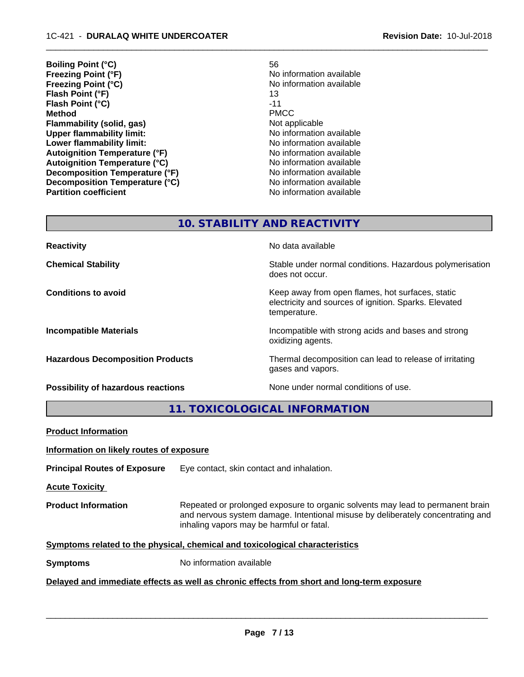- **Boiling Point (°C)** 56 **Freezing Point (°F)**<br> **Freezing Point (°C)**<br> **Freezing Point (°C)**<br> **No information available Freezing Point (°C) Flash Point (°F)** 13 **Flash Point (°C)** -11 **Method** PMCC **Flammability (solid, gas)** Not applicable **Upper flammability limit:**<br> **Lower flammability limit:** No information available<br>
No information available **Lower flammability limit:**<br> **Autoignition Temperature (°F)** No information available **Autoignition Temperature (°F) Autoignition Temperature (°C)** No information available **Decomposition Temperature (°F)** No information available **Decomposition Temperature (°C)** No information available **Partition coefficient Contract Community No information available** 
	-

# **10. STABILITY AND REACTIVITY**

**Possibility of hazardous reactions** None under normal conditions of use.

**Reactivity No data available No data available** 

**Chemical Stability Stability** Stable under normal conditions. Hazardous polymerisation does not occur.

**Conditions to avoid Keep away from open flames, hot surfaces, static conditions to avoid** electricity and sources of ignition. Sparks. Elevated temperature.

**Incompatible Materials Incompatible with strong acids and bases and strong** oxidizing agents.

**Hazardous Decomposition Products** Thermal decomposition can lead to release of irritating gases and vapors.

**11. TOXICOLOGICAL INFORMATION**

| <b>Product Information</b>                                                                 |                                                                                                                                                                                                               |  |
|--------------------------------------------------------------------------------------------|---------------------------------------------------------------------------------------------------------------------------------------------------------------------------------------------------------------|--|
| Information on likely routes of exposure                                                   |                                                                                                                                                                                                               |  |
| <b>Principal Routes of Exposure</b>                                                        | Eye contact, skin contact and inhalation.                                                                                                                                                                     |  |
| <b>Acute Toxicity</b>                                                                      |                                                                                                                                                                                                               |  |
| <b>Product Information</b>                                                                 | Repeated or prolonged exposure to organic solvents may lead to permanent brain<br>and nervous system damage. Intentional misuse by deliberately concentrating and<br>inhaling vapors may be harmful or fatal. |  |
| Symptoms related to the physical, chemical and toxicological characteristics               |                                                                                                                                                                                                               |  |
| No information available<br><b>Symptoms</b>                                                |                                                                                                                                                                                                               |  |
| Delayed and immediate effects as well as chronic effects from short and long-term exposure |                                                                                                                                                                                                               |  |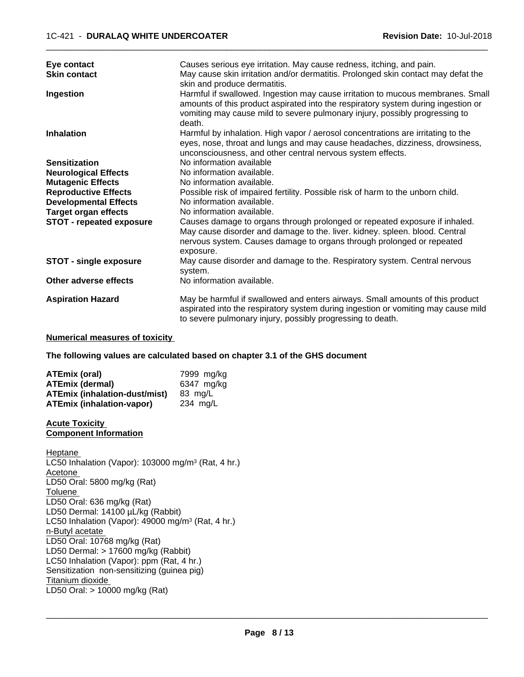| Eye contact<br><b>Skin contact</b> | Causes serious eye irritation. May cause redness, itching, and pain.<br>May cause skin irritation and/or dermatitis. Prolonged skin contact may defat the                                                                                           |
|------------------------------------|-----------------------------------------------------------------------------------------------------------------------------------------------------------------------------------------------------------------------------------------------------|
|                                    | skin and produce dermatitis.                                                                                                                                                                                                                        |
| Ingestion                          | Harmful if swallowed. Ingestion may cause irritation to mucous membranes. Small<br>amounts of this product aspirated into the respiratory system during ingestion or<br>vomiting may cause mild to severe pulmonary injury, possibly progressing to |
|                                    | death.                                                                                                                                                                                                                                              |
| <b>Inhalation</b>                  | Harmful by inhalation. High vapor / aerosol concentrations are irritating to the<br>eyes, nose, throat and lungs and may cause headaches, dizziness, drowsiness,<br>unconsciousness, and other central nervous system effects.                      |
| <b>Sensitization</b>               | No information available                                                                                                                                                                                                                            |
| <b>Neurological Effects</b>        | No information available.                                                                                                                                                                                                                           |
| <b>Mutagenic Effects</b>           | No information available.                                                                                                                                                                                                                           |
| <b>Reproductive Effects</b>        | Possible risk of impaired fertility. Possible risk of harm to the unborn child.                                                                                                                                                                     |
| <b>Developmental Effects</b>       | No information available.                                                                                                                                                                                                                           |
| <b>Target organ effects</b>        | No information available.                                                                                                                                                                                                                           |
| <b>STOT - repeated exposure</b>    | Causes damage to organs through prolonged or repeated exposure if inhaled.<br>May cause disorder and damage to the. liver. kidney. spleen. blood. Central<br>nervous system. Causes damage to organs through prolonged or repeated<br>exposure.     |
| <b>STOT - single exposure</b>      | May cause disorder and damage to the. Respiratory system. Central nervous<br>system.                                                                                                                                                                |
| Other adverse effects              | No information available.                                                                                                                                                                                                                           |
| <b>Aspiration Hazard</b>           | May be harmful if swallowed and enters airways. Small amounts of this product<br>aspirated into the respiratory system during ingestion or vomiting may cause mild<br>to severe pulmonary injury, possibly progressing to death.                    |

#### **Numerical measures of toxicity**

**The following values are calculated based on chapter 3.1 of the GHS document**

| <b>ATEmix (oral)</b>                 | 7999 mg/kg |
|--------------------------------------|------------|
| <b>ATEmix (dermal)</b>               | 6347 mg/kg |
| <b>ATEmix (inhalation-dust/mist)</b> | 83 ma/L    |
| <b>ATEmix (inhalation-vapor)</b>     | 234 ma/L   |

#### **Acute Toxicity Component Information**

Heptane LC50 Inhalation (Vapor): 103000 mg/m<sup>3</sup> (Rat, 4 hr.) Acetone LD50 Oral: 5800 mg/kg (Rat) Toluene LD50 Oral: 636 mg/kg (Rat) LD50 Dermal: 14100 µL/kg (Rabbit) LC50 Inhalation (Vapor): 49000 mg/m<sup>3</sup> (Rat, 4 hr.) n-Butyl acetate LD50 Oral: 10768 mg/kg (Rat) LD50 Dermal: > 17600 mg/kg (Rabbit) LC50 Inhalation (Vapor): ppm (Rat, 4 hr.) Sensitization non-sensitizing (guinea pig) Titanium dioxide LD50 Oral: > 10000 mg/kg (Rat)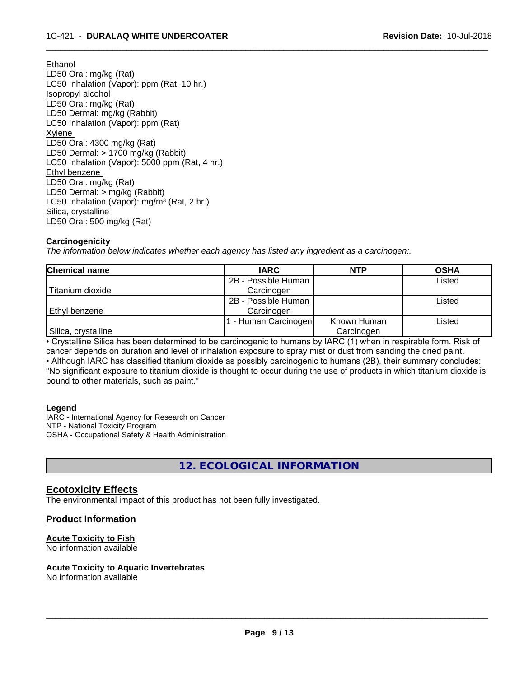Ethanol LD50 Oral: mg/kg (Rat) LC50 Inhalation (Vapor): ppm (Rat, 10 hr.) Isopropyl alcohol LD50 Oral: mg/kg (Rat) LD50 Dermal: mg/kg (Rabbit) LC50 Inhalation (Vapor): ppm (Rat) Xylene LD50 Oral: 4300 mg/kg (Rat) LD50 Dermal: > 1700 mg/kg (Rabbit) LC50 Inhalation (Vapor): 5000 ppm (Rat, 4 hr.) Ethyl benzene LD50 Oral: mg/kg (Rat) LD50 Dermal: > mg/kg (Rabbit) LC50 Inhalation (Vapor): mg/m<sup>3</sup> (Rat, 2 hr.) Silica, crystalline LD50 Oral: 500 mg/kg (Rat)

#### **Carcinogenicity**

*The information below indicateswhether each agency has listed any ingredient as a carcinogen:.*

| <b>Chemical name</b> | <b>IARC</b>         | <b>NTP</b>  | <b>OSHA</b> |
|----------------------|---------------------|-------------|-------------|
|                      | 2B - Possible Human |             | Listed      |
| Titanium dioxide     | Carcinogen          |             |             |
|                      | 2B - Possible Human |             | Listed      |
| l Ethvl benzene      | Carcinogen          |             |             |
|                      | - Human Carcinogen  | Known Human | Listed      |
| Silica, crystalline  |                     | Carcinogen  |             |

 $\overline{\phantom{a}}$  ,  $\overline{\phantom{a}}$  ,  $\overline{\phantom{a}}$  ,  $\overline{\phantom{a}}$  ,  $\overline{\phantom{a}}$  ,  $\overline{\phantom{a}}$  ,  $\overline{\phantom{a}}$  ,  $\overline{\phantom{a}}$  ,  $\overline{\phantom{a}}$  ,  $\overline{\phantom{a}}$  ,  $\overline{\phantom{a}}$  ,  $\overline{\phantom{a}}$  ,  $\overline{\phantom{a}}$  ,  $\overline{\phantom{a}}$  ,  $\overline{\phantom{a}}$  ,  $\overline{\phantom{a}}$ 

• Crystalline Silica has been determined to be carcinogenic to humans by IARC (1) when in respirable form. Risk of cancer depends on duration and level of inhalation exposure to spray mist or dust from sanding the dried paint.

• Although IARC has classified titanium dioxide as possibly carcinogenic to humans (2B), their summary concludes: "No significant exposure to titanium dioxide is thought to occur during the use of products in which titanium dioxide is bound to other materials, such as paint."

#### **Legend**

IARC - International Agency for Research on Cancer NTP - National Toxicity Program OSHA - Occupational Safety & Health Administration

**12. ECOLOGICAL INFORMATION**

## **Ecotoxicity Effects**

The environmental impact of this product has not been fully investigated.

## **Product Information**

## **Acute Toxicity to Fish**

No information available

#### **Acute Toxicity to Aquatic Invertebrates**

No information available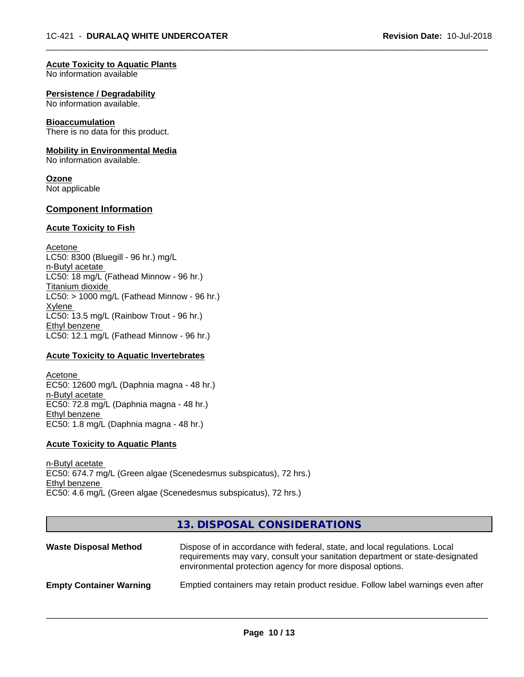#### **Acute Toxicity to Aquatic Plants**

No information available

#### **Persistence / Degradability**

No information available.

#### **Bioaccumulation**

There is no data for this product.

#### **Mobility in Environmental Media**

No information available.

#### **Ozone**

Not applicable

## **Component Information**

#### **Acute Toxicity to Fish**

Acetone LC50: 8300 (Bluegill - 96 hr.) mg/L n-Butyl acetate LC50: 18 mg/L (Fathead Minnow - 96 hr.) Titanium dioxide  $LC50:$  > 1000 mg/L (Fathead Minnow - 96 hr.) Xylene LC50: 13.5 mg/L (Rainbow Trout - 96 hr.) Ethyl benzene LC50: 12.1 mg/L (Fathead Minnow - 96 hr.)

#### **Acute Toxicity to Aquatic Invertebrates**

Acetone EC50: 12600 mg/L (Daphnia magna - 48 hr.) n-Butyl acetate EC50: 72.8 mg/L (Daphnia magna - 48 hr.) Ethyl benzene EC50: 1.8 mg/L (Daphnia magna - 48 hr.)

#### **Acute Toxicity to Aquatic Plants**

n-Butyl acetate EC50: 674.7 mg/L (Green algae (Scenedesmus subspicatus), 72 hrs.) Ethyl benzene EC50: 4.6 mg/L (Green algae (Scenedesmus subspicatus), 72 hrs.)

## **13. DISPOSAL CONSIDERATIONS**

| <b>Waste Disposal Method</b>   | Dispose of in accordance with federal, state, and local regulations. Local<br>requirements may vary, consult your sanitation department or state-designated<br>environmental protection agency for more disposal options. |
|--------------------------------|---------------------------------------------------------------------------------------------------------------------------------------------------------------------------------------------------------------------------|
| <b>Empty Container Warning</b> | Emptied containers may retain product residue. Follow label warnings even after                                                                                                                                           |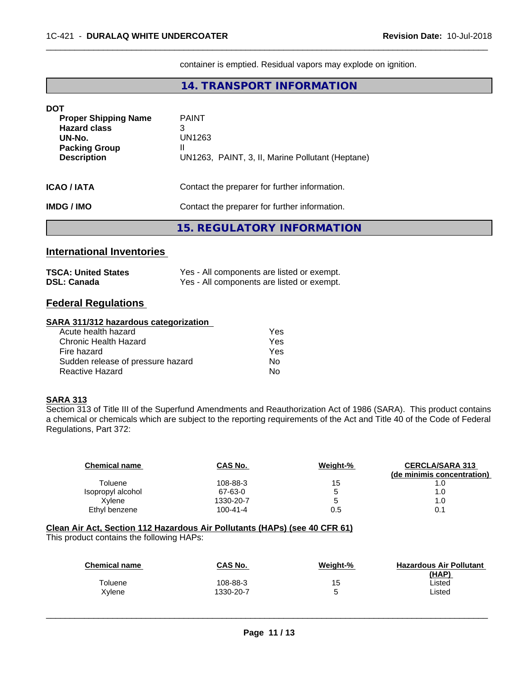container is emptied. Residual vapors may explode on ignition.

 $\overline{\phantom{a}}$  ,  $\overline{\phantom{a}}$  ,  $\overline{\phantom{a}}$  ,  $\overline{\phantom{a}}$  ,  $\overline{\phantom{a}}$  ,  $\overline{\phantom{a}}$  ,  $\overline{\phantom{a}}$  ,  $\overline{\phantom{a}}$  ,  $\overline{\phantom{a}}$  ,  $\overline{\phantom{a}}$  ,  $\overline{\phantom{a}}$  ,  $\overline{\phantom{a}}$  ,  $\overline{\phantom{a}}$  ,  $\overline{\phantom{a}}$  ,  $\overline{\phantom{a}}$  ,  $\overline{\phantom{a}}$ 

## **14. TRANSPORT INFORMATION**

| <b>DOT</b>                  |                                                  |  |
|-----------------------------|--------------------------------------------------|--|
| <b>Proper Shipping Name</b> | <b>PAINT</b>                                     |  |
| <b>Hazard class</b>         | 3                                                |  |
| UN-No.                      | UN1263                                           |  |
| <b>Packing Group</b>        | Ш                                                |  |
| <b>Description</b>          | UN1263, PAINT, 3, II, Marine Pollutant (Heptane) |  |
|                             |                                                  |  |
| <b>ICAO / IATA</b>          | Contact the preparer for further information.    |  |
|                             |                                                  |  |
| <b>IMDG/IMO</b>             | Contact the preparer for further information.    |  |
|                             |                                                  |  |
|                             | 15. REGULATORY INFORMATION                       |  |
|                             |                                                  |  |

## **International Inventories**

| <b>TSCA: United States</b> | Yes - All components are listed or exempt. |
|----------------------------|--------------------------------------------|
| <b>DSL: Canada</b>         | Yes - All components are listed or exempt. |

## **Federal Regulations**

## **SARA 311/312 hazardous categorization**

| Acute health hazard               | Yes |
|-----------------------------------|-----|
| Chronic Health Hazard             | Yes |
| Fire hazard                       | Yes |
| Sudden release of pressure hazard | N٥  |
| Reactive Hazard                   | N٥  |

## **SARA 313**

Section 313 of Title III of the Superfund Amendments and Reauthorization Act of 1986 (SARA). This product contains a chemical or chemicals which are subject to the reporting requirements of the Act and Title 40 of the Code of Federal Regulations, Part 372:

| <b>Chemical name</b> | CAS No.        | Weight-% | <b>CERCLA/SARA 313</b>     |
|----------------------|----------------|----------|----------------------------|
| Toluene              | 108-88-3       | 15       | (de minimis concentration) |
| Isopropyl alcohol    | 67-63-0        | b        | 1.0                        |
| Xvlene               | 1330-20-7      |          | 1.0                        |
| Ethyl benzene        | $100 - 41 - 4$ | 0.5      | 0.1                        |

## **Clean Air Act,Section 112 Hazardous Air Pollutants (HAPs) (see 40 CFR 61)**

This product contains the following HAPs:

| <b>CAS No.</b> | Weight-% | <b>Hazardous Air Pollutant</b><br>(HAP) |
|----------------|----------|-----------------------------------------|
| 108-88-3       | 15       | Listed                                  |
| 1330-20-7      | ∽<br>ີ   | Listed                                  |
|                |          |                                         |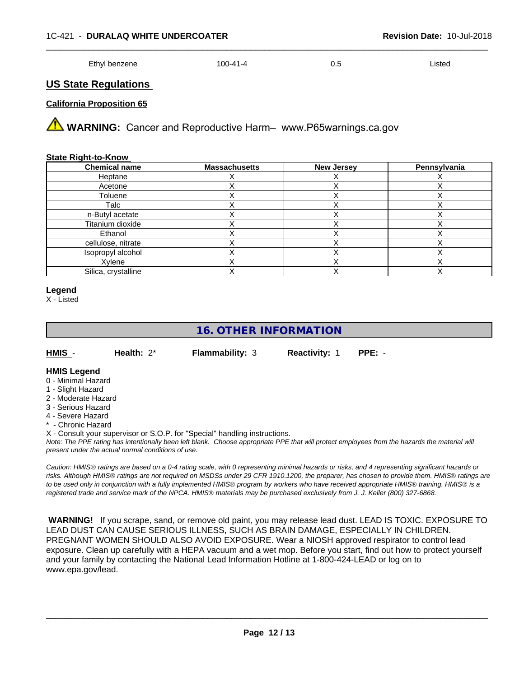| Ethyl benzene | 100-41-4 | v.J | ∟isted |
|---------------|----------|-----|--------|
|---------------|----------|-----|--------|

## **US State Regulations**

#### **California Proposition 65**

**A** WARNING: Cancer and Reproductive Harm– www.P65warnings.ca.gov

#### **State Right-to-Know**

| <b>Chemical name</b> | <b>Massachusetts</b> | <b>New Jersey</b> | Pennsylvania |
|----------------------|----------------------|-------------------|--------------|
| Heptane              |                      |                   |              |
| Acetone              |                      |                   |              |
| Toluene              |                      |                   |              |
| Talc                 |                      |                   |              |
| n-Butyl acetate      |                      |                   |              |
| Titanium dioxide     |                      |                   |              |
| Ethanol              |                      |                   |              |
| cellulose, nitrate   |                      |                   |              |
| Isopropyl alcohol    |                      |                   |              |
| Xylene               |                      |                   |              |
| Silica, crystalline  |                      |                   |              |

#### **Legend**

X - Listed

# **16. OTHER INFORMATION**

| HMIS - | Health: $2^*$ |  |
|--------|---------------|--|
|        |               |  |

**Flammability: 3 Reactivity: 1 PPE: -**

#### **HMIS Legend**

- 0 Minimal Hazard
- 1 Slight Hazard
- 2 Moderate Hazard
- 3 Serious Hazard
- 4 Severe Hazard
- **Chronic Hazard**

X - Consult your supervisor or S.O.P. for "Special" handling instructions.

*Note: The PPE rating has intentionally been left blank. Choose appropriate PPE that will protect employees from the hazards the material will present under the actual normal conditions of use.*

*Caution: HMISÒ ratings are based on a 0-4 rating scale, with 0 representing minimal hazards or risks, and 4 representing significant hazards or risks. Although HMISÒ ratings are not required on MSDSs under 29 CFR 1910.1200, the preparer, has chosen to provide them. HMISÒ ratings are to be used only in conjunction with a fully implemented HMISÒ program by workers who have received appropriate HMISÒ training. HMISÒ is a registered trade and service mark of the NPCA. HMISÒ materials may be purchased exclusively from J. J. Keller (800) 327-6868.*

 **WARNING!** If you scrape, sand, or remove old paint, you may release lead dust. LEAD IS TOXIC. EXPOSURE TO LEAD DUST CAN CAUSE SERIOUS ILLNESS, SUCH AS BRAIN DAMAGE, ESPECIALLY IN CHILDREN. PREGNANT WOMEN SHOULD ALSO AVOID EXPOSURE.Wear a NIOSH approved respirator to control lead exposure. Clean up carefully with a HEPA vacuum and a wet mop. Before you start, find out how to protect yourself and your family by contacting the National Lead Information Hotline at 1-800-424-LEAD or log on to www.epa.gov/lead.